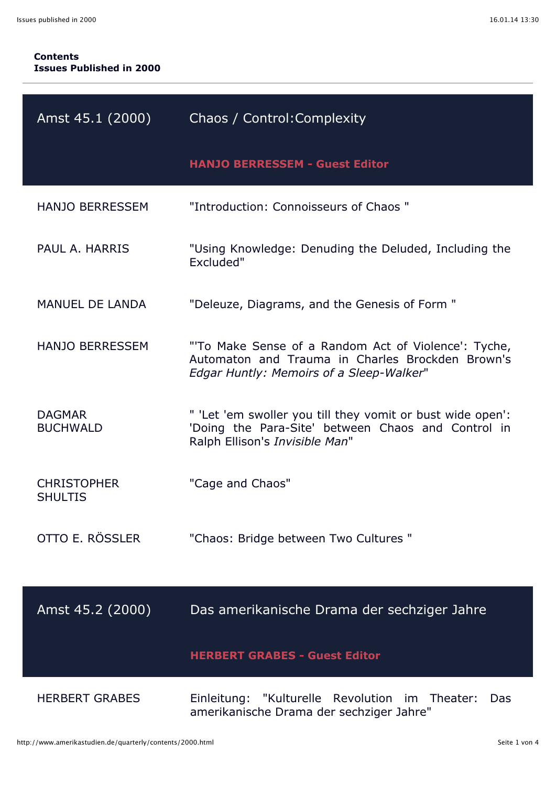## **Contents Issues Published in 2000**

| Amst 45.1 (2000)                     | Chaos / Control: Complexity                                                                                                                         |
|--------------------------------------|-----------------------------------------------------------------------------------------------------------------------------------------------------|
|                                      | <b>HANJO BERRESSEM - Guest Editor</b>                                                                                                               |
| <b>HANJO BERRESSEM</b>               | "Introduction: Connoisseurs of Chaos "                                                                                                              |
| PAUL A. HARRIS                       | "Using Knowledge: Denuding the Deluded, Including the<br>Excluded"                                                                                  |
| <b>MANUEL DE LANDA</b>               | "Deleuze, Diagrams, and the Genesis of Form "                                                                                                       |
| <b>HANJO BERRESSEM</b>               | "To Make Sense of a Random Act of Violence': Tyche,<br>Automaton and Trauma in Charles Brockden Brown's<br>Edgar Huntly: Memoirs of a Sleep-Walker" |
| <b>DAGMAR</b><br><b>BUCHWALD</b>     | " 'Let 'em swoller you till they vomit or bust wide open':<br>'Doing the Para-Site' between Chaos and Control in<br>Ralph Ellison's Invisible Man"  |
| <b>CHRISTOPHER</b><br><b>SHULTIS</b> | "Cage and Chaos"                                                                                                                                    |
| OTTO E. RÖSSLER                      | "Chaos: Bridge between Two Cultures "                                                                                                               |
| Amst 45.2 (2000)                     | Das amerikanische Drama der sechziger Jahre                                                                                                         |
|                                      | <b>HERBERT GRABES - Guest Editor</b>                                                                                                                |
| <b>HERBERT GRABES</b>                | "Kulturelle Revolution<br>Einleitung:<br>im<br>Theater:<br>Das<br>amerikanische Drama der sechziger Jahre"                                          |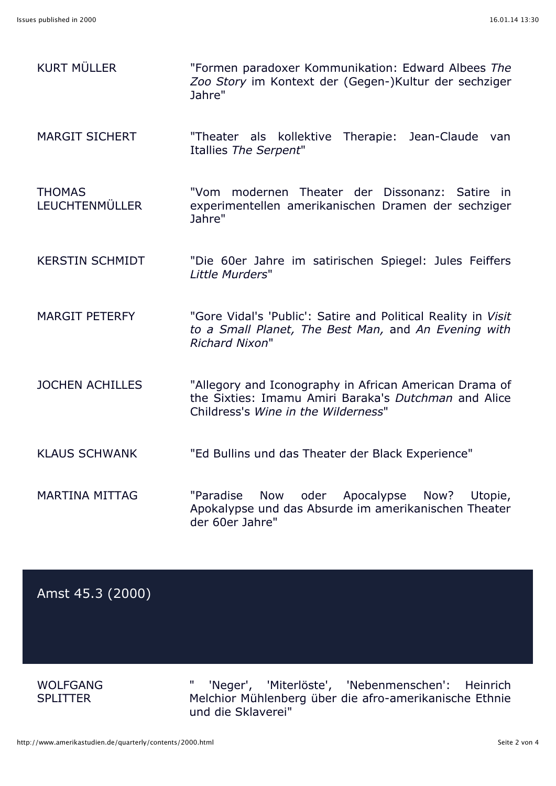| <b>KURT MÜLLER</b>                     | "Formen paradoxer Kommunikation: Edward Albees The<br>Zoo Story im Kontext der (Gegen-)Kultur der sechziger<br>Jahre"                                 |
|----------------------------------------|-------------------------------------------------------------------------------------------------------------------------------------------------------|
| <b>MARGIT SICHERT</b>                  | Therapie:<br>Jean-Claude<br>"Theater als kollektive<br>van<br>Itallies The Serpent"                                                                   |
| <b>THOMAS</b><br><b>LEUCHTENMÜLLER</b> | "Vom modernen Theater der Dissonanz: Satire<br>in.<br>experimentellen amerikanischen Dramen der sechziger<br>Jahre"                                   |
| <b>KERSTIN SCHMIDT</b>                 | "Die 60er Jahre im satirischen Spiegel: Jules Feiffers<br>Little Murders"                                                                             |
| <b>MARGIT PETERFY</b>                  | "Gore Vidal's 'Public': Satire and Political Reality in Visit<br>to a Small Planet, The Best Man, and An Evening with<br><b>Richard Nixon"</b>        |
| <b>JOCHEN ACHILLES</b>                 | "Allegory and Iconography in African American Drama of<br>the Sixties: Imamu Amiri Baraka's Dutchman and Alice<br>Childress's Wine in the Wilderness" |
| <b>KLAUS SCHWANK</b>                   | "Ed Bullins und das Theater der Black Experience"                                                                                                     |
| <b>MARTINA MITTAG</b>                  | "Paradise<br>Apocalypse<br><b>Now</b><br>oder<br>Now?<br>Utopie,<br>Apokalypse und das Absurde im amerikanischen Theater<br>der 60er Jahre"           |

## Amst 45.3 (2000)

WOLFGANG **SPLITTER** 

" 'Neger', 'Miterlöste', 'Nebenmenschen': Heinrich Melchior Mühlenberg über die afro-amerikanische Ethnie und die Sklaverei"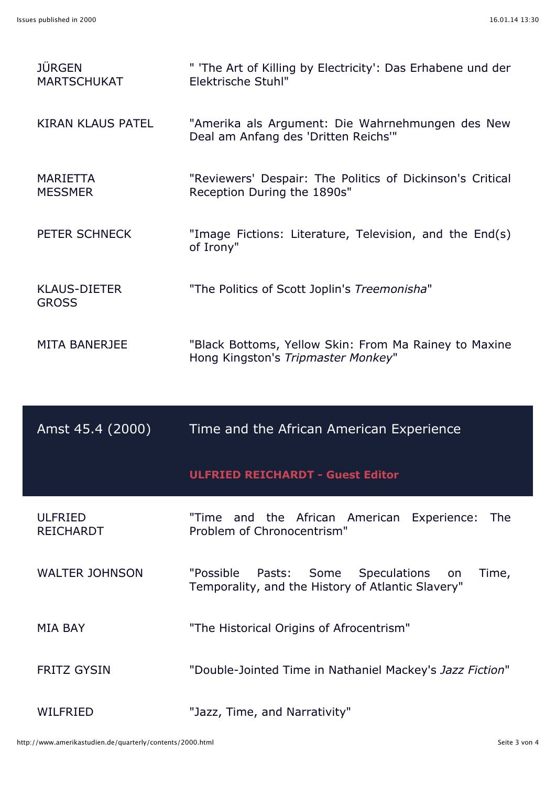| <b>JÜRGEN</b><br><b>MARTSCHUKAT</b> | " 'The Art of Killing by Electricity': Das Erhabene und der<br>Elektrische Stuhl"                                      |
|-------------------------------------|------------------------------------------------------------------------------------------------------------------------|
| <b>KIRAN KLAUS PATEL</b>            | "Amerika als Argument: Die Wahrnehmungen des New<br>Deal am Anfang des 'Dritten Reichs'"                               |
| <b>MARIETTA</b><br><b>MESSMER</b>   | "Reviewers' Despair: The Politics of Dickinson's Critical<br>Reception During the 1890s"                               |
| PETER SCHNECK                       | "Image Fictions: Literature, Television, and the End(s)<br>of Irony"                                                   |
| <b>KLAUS-DIETER</b><br><b>GROSS</b> | "The Politics of Scott Joplin's Treemonisha"                                                                           |
| <b>MITA BANERJEE</b>                | "Black Bottoms, Yellow Skin: From Ma Rainey to Maxine<br>Hong Kingston's Tripmaster Monkey"                            |
|                                     |                                                                                                                        |
| Amst 45.4 (2000)                    | Time and the African American Experience                                                                               |
|                                     | <b>ULFRIED REICHARDT - Guest Editor</b>                                                                                |
| <b>ULFRIED</b><br><b>REICHARDT</b>  | "Time and the African American Experience:<br><b>The</b><br>Problem of Chronocentrism"                                 |
| <b>WALTER JOHNSON</b>               | "Possible<br>Pasts:<br>Some<br><b>Speculations</b><br>Time,<br>on<br>Temporality, and the History of Atlantic Slavery" |
| <b>MIA BAY</b>                      | "The Historical Origins of Afrocentrism"                                                                               |
| <b>FRITZ GYSIN</b>                  | "Double-Jointed Time in Nathaniel Mackey's Jazz Fiction"                                                               |